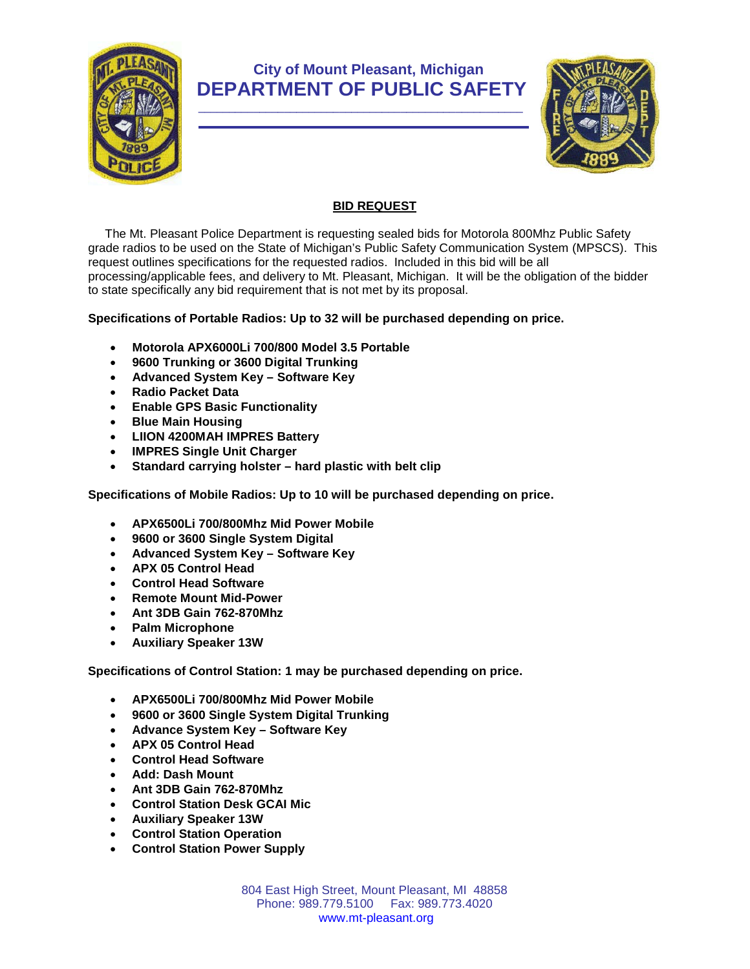

## **City of Mount Pleasant, Michigan DEPARTMENT OF PUBLIC SAFETY**



## **BID REQUEST**

 The Mt. Pleasant Police Department is requesting sealed bids for Motorola 800Mhz Public Safety grade radios to be used on the State of Michigan's Public Safety Communication System (MPSCS). This request outlines specifications for the requested radios. Included in this bid will be all processing/applicable fees, and delivery to Mt. Pleasant, Michigan. It will be the obligation of the bidder to state specifically any bid requirement that is not met by its proposal.

## **Specifications of Portable Radios: Up to 32 will be purchased depending on price.**

- **Motorola APX6000Li 700/800 Model 3.5 Portable**
- **9600 Trunking or 3600 Digital Trunking**
- **Advanced System Key – Software Key**
- **Radio Packet Data**
- **Enable GPS Basic Functionality**
- **Blue Main Housing**
- **LIION 4200MAH IMPRES Battery**
- **IMPRES Single Unit Charger**
- **Standard carrying holster – hard plastic with belt clip**

**Specifications of Mobile Radios: Up to 10 will be purchased depending on price.**

- **APX6500Li 700/800Mhz Mid Power Mobile**
- **9600 or 3600 Single System Digital**
- **Advanced System Key – Software Key**
- **APX 05 Control Head**
- **Control Head Software**
- **Remote Mount Mid-Power**
- **Ant 3DB Gain 762-870Mhz**
- **Palm Microphone**
- **Auxiliary Speaker 13W**

**Specifications of Control Station: 1 may be purchased depending on price.**

- **APX6500Li 700/800Mhz Mid Power Mobile**
- **9600 or 3600 Single System Digital Trunking**
- **Advance System Key – Software Key**
- **APX 05 Control Head**
- **Control Head Software**
- **Add: Dash Mount**
- **Ant 3DB Gain 762-870Mhz**
- **Control Station Desk GCAI Mic**
- **Auxiliary Speaker 13W**
- **Control Station Operation**
- **Control Station Power Supply**

804 East High Street, Mount Pleasant, MI 48858 Phone: 989.779.5100 Fax: 989.773.4020 www.mt-pleasant.org